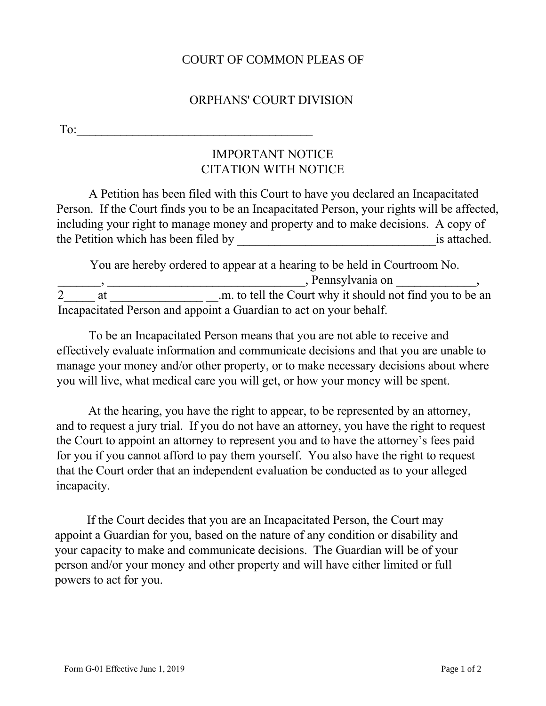## COURT OF COMMON PLEAS OF

## ORPHANS' COURT DIVISION

To:  $\overline{\phantom{a}}$ 

## IMPORTANT NOTICE CITATION WITH NOTICE

A Petition has been filed with this Court to have you declared an Incapacitated Person. If the Court finds you to be an Incapacitated Person, your rights will be affected, including your right to manage money and property and to make decisions. A copy of the Petition which has been filed by is attached.

You are hereby ordered to appear at a hearing to be held in Courtroom No.  $\Box$ , Pennsylvania on \_\_\_\_\_\_\_\_,  $\Box$ ,  $\Box$ 2\_\_\_\_\_ at \_\_\_\_\_\_\_\_\_\_\_\_\_\_\_ \_\_.m. to tell the Court why it should not find you to be an Incapacitated Person and appoint a Guardian to act on your behalf.

 To be an Incapacitated Person means that you are not able to receive and effectively evaluate information and communicate decisions and that you are unable to manage your money and/or other property, or to make necessary decisions about where you will live, what medical care you will get, or how your money will be spent.

 At the hearing, you have the right to appear, to be represented by an attorney, and to request a jury trial. If you do not have an attorney, you have the right to request the Court to appoint an attorney to represent you and to have the attorney's fees paid for you if you cannot afford to pay them yourself. You also have the right to request that the Court order that an independent evaluation be conducted as to your alleged incapacity.

 If the Court decides that you are an Incapacitated Person, the Court may appoint a Guardian for you, based on the nature of any condition or disability and your capacity to make and communicate decisions. The Guardian will be of your person and/or your money and other property and will have either limited or full powers to act for you.